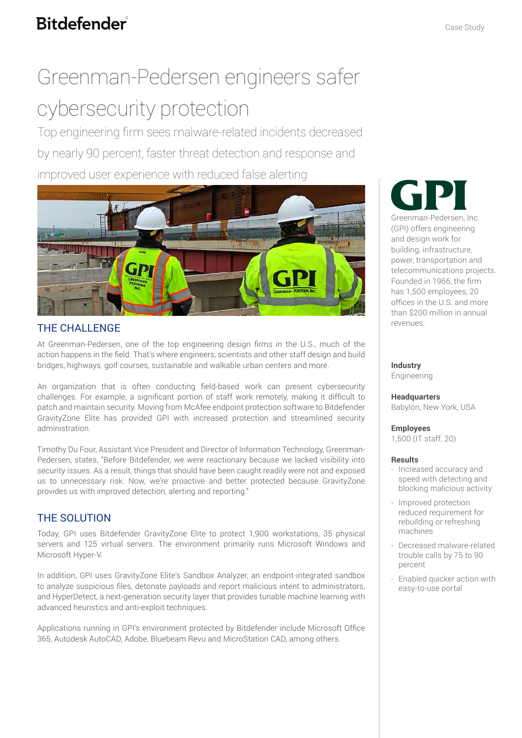# **Bitdefender**

# Greenman-Pedersen engineers safer cybersecurity protection

Top engineering firm sees malware-related incidents decreased by nearly 90 percent, faster threat detection and response and improved user experience with reduced false alerting



### THE CHALLENGE

At Greenman-Pedersen, one of the top engineering design firms in the U.S., much of the action happens in the field. That's where engineers, scientists and other staff design and build bridges, highways, golf courses, sustainable and walkable urban centers and more.

An organization that is often conducting field-based work can present cybersecurity challenges. For example, a significant portion of staff work remotely, making it difficult to patch and maintain security. Moving from McAfee endpoint protection software to Bitdefender GravityZone Elite has provided GPI with increased protection and streamlined security administration.

Timothy Du Four, Assistant Vice President and Director of Information Technology, Greenman-Pedersen, states, "Before Bitdefender, we were reactionary because we lacked visibility into security issues. As a result, things that should have been caught readily were not and exposed us to unnecessary risk. Now, we're proactive and better protected because GravityZone provides us with improved detection, alerting and reporting."

## THE SOLUTION

Today, GPI uses Bitdefender GravityZone Elite to protect 1,900 workstations, 35 physical servers and 125 virtual servers. The environment primarily runs Microsoft Windows and Microsoft Hyper-V.

In addition, GPI uses GravityZone Elite's Sandbox Analyzer, an endpoint-integrated sandbox to analyze suspicious files, detonate payloads and report malicious intent to administrators, and HyperDetect, a next-generation security layer that provides tunable machine learning with advanced heuristics and anti-exploit techniques.

Applications running in GPI's environment protected by Bitdefender include Microsoft Office 365, Autodesk AutoCAD, Adobe, Bluebeam Revu and MicroStation CAD, among others.



Greenman-Pedersen, Inc. (GPI) offers engineering and design work for building, infrastructure, power, transportation and telecommunications projects. Founded in 1966, the firm has 1,500 employees, 20 offices in the U.S. and more than \$200 million in annual revenues.

**Industry** Engineering

**Headquarters**

Babylon, New York, USA

**Employees** 

1,500 (IT staff, 20)

#### **Results**

- Increased accuracy and speed with detecting and blocking malicious activity
- Improved protection reduced requirement for rebuilding or refreshing machines
- Decreased malware-related trouble calls by 75 to 90 percent
- Enabled quicker action with easy-to-use portal